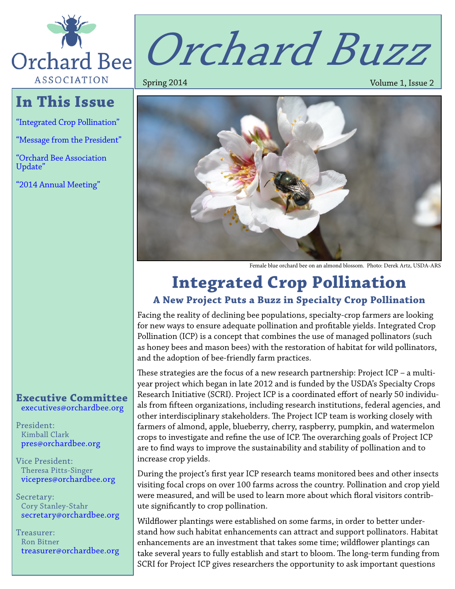

# **In This Issue**

["Integrated Crop Pollination"](#page-0-0)

["Message from the President"](#page-1-0)

["Orchard Bee Association](#page-2-0)  [Update"](#page-2-0)

["2014 Annual Meeting"](#page-3-0)

# Orchard Buzz

Spring 2014 **Volume 1, Issue 2** 



Female blue orchard bee on an almond blossom. Photo: Derek Artz, USDA-ARS

# <span id="page-0-0"></span>**Integrated Crop Pollination**

### **A New Project Puts a Buzz in Specialty Crop Pollination**

Facing the reality of declining bee populations, specialty-crop farmers are looking for new ways to ensure adequate pollination and profitable yields. Integrated Crop Pollination (ICP) is a concept that combines the use of managed pollinators (such as honey bees and mason bees) with the restoration of habitat for wild pollinators, and the adoption of bee-friendly farm practices.

These strategies are the focus of a new research partnership: Project ICP – a multiyear project which began in late 2012 and is funded by the USDA's Specialty Crops Research Initiative (SCRI). Project ICP is a coordinated effort of nearly 50 individuals from fifteen organizations, including research institutions, federal agencies, and other interdisciplinary stakeholders. The Project ICP team is working closely with farmers of almond, apple, blueberry, cherry, raspberry, pumpkin, and watermelon crops to investigate and refine the use of ICP. The overarching goals of Project ICP are to find ways to improve the sustainability and stability of pollination and to increase crop yields.

During the project's first year ICP research teams monitored bees and other insects visiting focal crops on over 100 farms across the country. Pollination and crop yield were measured, and will be used to learn more about which floral visitors contribute significantly to crop pollination.

Wildflower plantings were established on some farms, in order to better understand how such habitat enhancements can attract and support pollinators. Habitat enhancements are an investment that takes some time; wildflower plantings can take several years to fully establish and start to bloom. The long-term funding from SCRI for Project ICP gives researchers the opportunity to ask important questions

#### **Executive Committee** [executives@orchardbee.org](mailto:executives@orchardbee.org)

President: Kimball Clark [pres@orchardbee.org](mailto:pres@orchardbee.org)

Vice President: Theresa Pitts-Singer [vicepres@orchardbee.org](mailto:vicepres@orchardbee.org)

Secretary: Cory Stanley-Stahr [secretary@orchardbee.org](mailto:secretary@orchardbee.org)

Treasurer: Ron Bitner [treasurer@orchardbee.org](mailto:treasurer@orchardbee.org)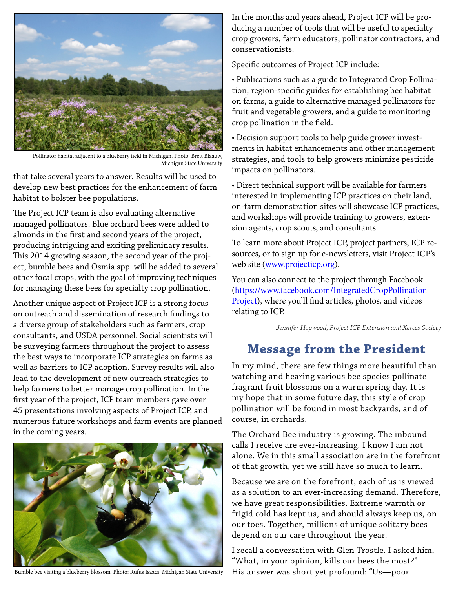

Pollinator habitat adjacent to a blueberry field in Michigan. Photo: Brett Blaauw, Michigan State University

that take several years to answer. Results will be used to develop new best practices for the enhancement of farm habitat to bolster bee populations.

The Project ICP team is also evaluating alternative managed pollinators. Blue orchard bees were added to almonds in the first and second years of the project, producing intriguing and exciting preliminary results. This 2014 growing season, the second year of the project, bumble bees and Osmia spp. will be added to several other focal crops, with the goal of improving techniques for managing these bees for specialty crop pollination.

Another unique aspect of Project ICP is a strong focus on outreach and dissemination of research findings to a diverse group of stakeholders such as farmers, crop consultants, and USDA personnel. Social scientists will be surveying farmers throughout the project to assess the best ways to incorporate ICP strategies on farms as well as barriers to ICP adoption. Survey results will also lead to the development of new outreach strategies to help farmers to better manage crop pollination. In the first year of the project, ICP team members gave over 45 presentations involving aspects of Project ICP, and numerous future workshops and farm events are planned in the coming years.



Bumble bee visiting a blueberry blossom. Photo: Rufus Isaacs, Michigan State University

In the months and years ahead, Project ICP will be producing a number of tools that will be useful to specialty crop growers, farm educators, pollinator contractors, and conservationists.

Specific outcomes of Project ICP include:

• Publications such as a guide to Integrated Crop Pollination, region-specific guides for establishing bee habitat on farms, a guide to alternative managed pollinators for fruit and vegetable growers, and a guide to monitoring crop pollination in the field.

• Decision support tools to help guide grower investments in habitat enhancements and other management strategies, and tools to help growers minimize pesticide impacts on pollinators.

• Direct technical support will be available for farmers interested in implementing ICP practices on their land, on-farm demonstration sites will showcase ICP practices, and workshops will provide training to growers, extension agents, crop scouts, and consultants.

To learn more about Project ICP, project partners, ICP resources, or to sign up for e-newsletters, visit Project ICP's web site [\(www.projecticp.org](http://www.projecticp.org)).

You can also connect to the project through Facebook [\(https://www.facebook.com/IntegratedCropPollination-](https://www.facebook.com/IntegratedCropPollinationProject)[Project](https://www.facebook.com/IntegratedCropPollinationProject)), where you'll find articles, photos, and videos relating to ICP.

*-Jennifer Hopwood, Project ICP Extension and Xerces Society*

## <span id="page-1-0"></span>**Message from the President**

In my mind, there are few things more beautiful than watching and hearing various bee species pollinate fragrant fruit blossoms on a warm spring day. It is my hope that in some future day, this style of crop pollination will be found in most backyards, and of course, in orchards.

The Orchard Bee industry is growing. The inbound calls I receive are ever-increasing. I know I am not alone. We in this small association are in the forefront of that growth, yet we still have so much to learn.

Because we are on the forefront, each of us is viewed as a solution to an ever-increasing demand. Therefore, we have great responsibilities. Extreme warmth or frigid cold has kept us, and should always keep us, on our toes. Together, millions of unique solitary bees depend on our care throughout the year.

I recall a conversation with Glen Trostle. I asked him, "What, in your opinion, kills our bees the most?" His answer was short yet profound: "Us—poor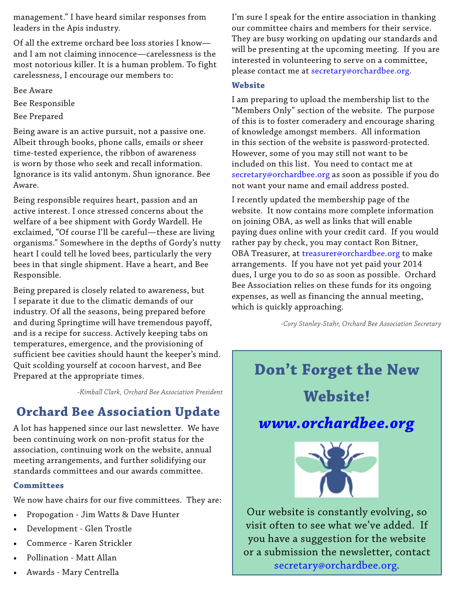management." I have heard similar responses from leaders in the Apis industry.

Of all the extreme orchard bee loss stories I know and I am not claiming innocence—carelessness is the most notorious killer. It is a human problem. To fight carelessness, I encourage our members to:

Bee Aware

Bee Responsible

Bee Prepared

Being aware is an active pursuit, not a passive one. Albeit through books, phone calls, emails or sheer time-tested experience, the ribbon of awareness is worn by those who seek and recall information. Ignorance is its valid antonym. Shun ignorance. Bee Aware.

Being responsible requires heart, passion and an active interest. I once stressed concerns about the welfare of a bee shipment with Gordy Wardell. He exclaimed, "Of course I'll be careful—these are living organisms." Somewhere in the depths of Gordy's nutty heart I could tell he loved bees, particularly the very bees in that single shipment. Have a heart, and Bee Responsible.

Being prepared is closely related to awareness, but I separate it due to the climatic demands of our industry. Of all the seasons, being prepared before and during Springtime will have tremendous payoff, and is a recipe for success. Actively keeping tabs on temperatures, emergence, and the provisioning of sufficient bee cavities should haunt the keeper's mind. Quit scolding yourself at cocoon harvest, and Bee Prepared at the appropriate times.

*-Kimball Clark, Orchard Bee Association President*

## <span id="page-2-0"></span>**Orchard Bee Association Update**

A lot has happened since our last newsletter. We have been continuing work on non-profit status for the association, continuing work on the website, annual meeting arrangements, and further solidifying our standards committees and our awards committee.

#### **Committees**

We now have chairs for our five committees. They are:

- Propogation Jim Watts & Dave Hunter
- Development Glen Trostle
- Commerce Karen Strickler
- Pollination Matt Allan
- Awards Mary Centrella

I'm sure I speak for the entire association in thanking our committee chairs and members for their service. They are busy working on updating our standards and will be presenting at the upcoming meeting. If you are interested in volunteering to serve on a committee, please contact me at secretar[y@orchardbee.org.](mailto:executives@orchardbee.org)

#### **Website**

I am preparing to upload the membership list to the "Members Only" section of the website. The purpose of this is to foster comeradery and encourage sharing of knowledge amongst members. All information in this section of the website is password-protected. However, some of you may still not want to be included on this list. You need to contact me at [secretary@orchardbee.org](mailto:secretary@orchardbee.org) as soon as possible if you do not want your name and email address posted.

I recently updated the membership page of the website. It now contains more complete information on joining OBA, as well as links that will enable paying dues online with your credit card. If you would rather pay by check, you may contact Ron Bitner, OBA Treasurer, at [treasurer@orchardbee.org](mailto:treasurer@orchardbee.org) to make arrangements. If you have not yet paid your 2014 dues, I urge you to do so as soon as possible. Orchard Bee Association relies on these funds for its ongoing expenses, as well as financing the annual meeting, which is quickly approaching.

*-Cory Stanley-Stahr, Orchard Bee Association Secretary*

**Don't Forget the New Website!** *<www.orchardbee.org>*



Our website is constantly evolving, so visit often to see what we've added. If you have a suggestion for the website or a submission the newsletter, contact [secretary@orchardbee.org](mailto:secretary@orchardbee.org).